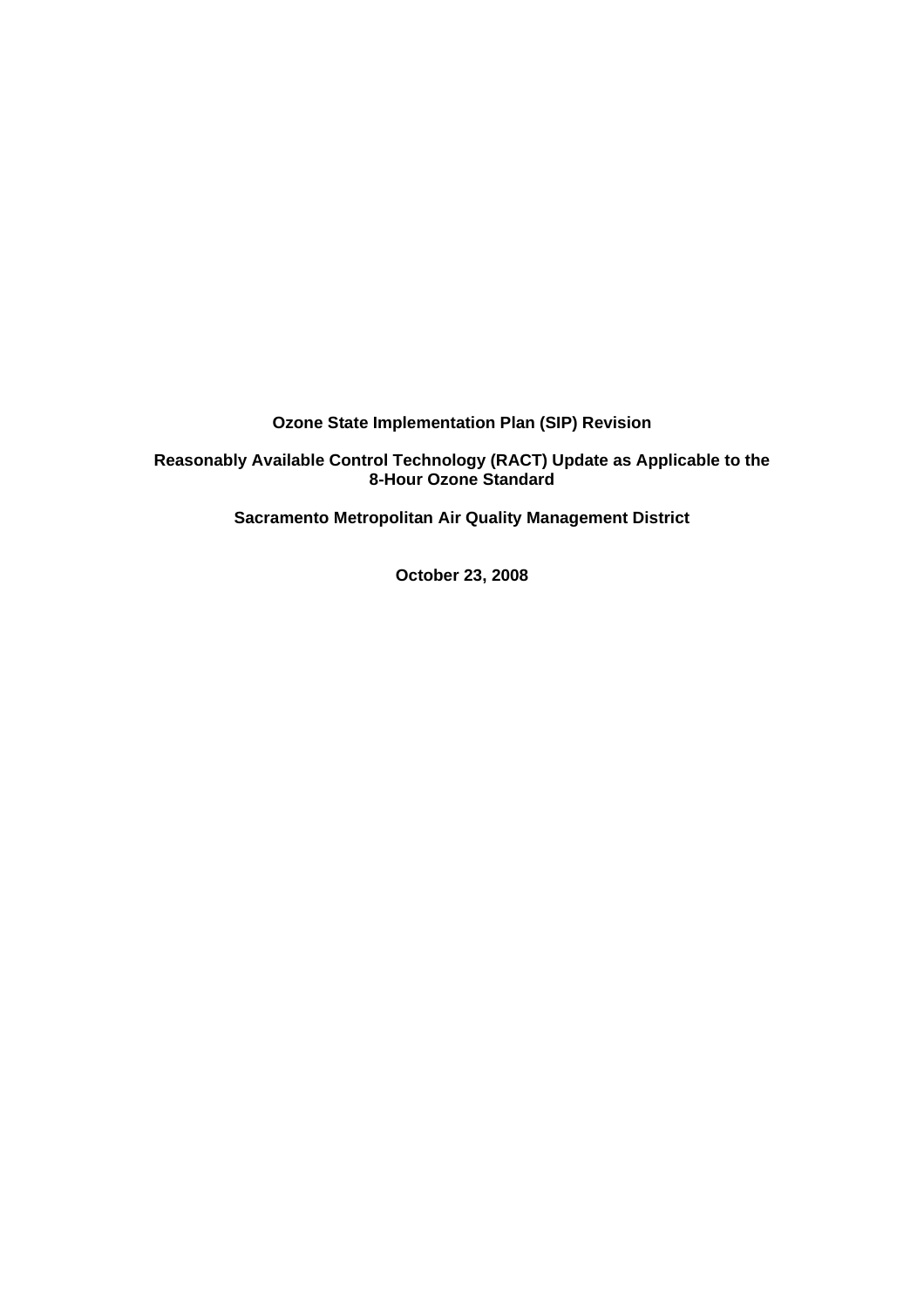**Ozone State Implementation Plan (SIP) Revision**

**Reasonably Available Control Technology (RACT) Update as Applicable to the 8-Hour Ozone Standard**

**Sacramento Metropolitan Air Quality Management District**

**October 23, 2008**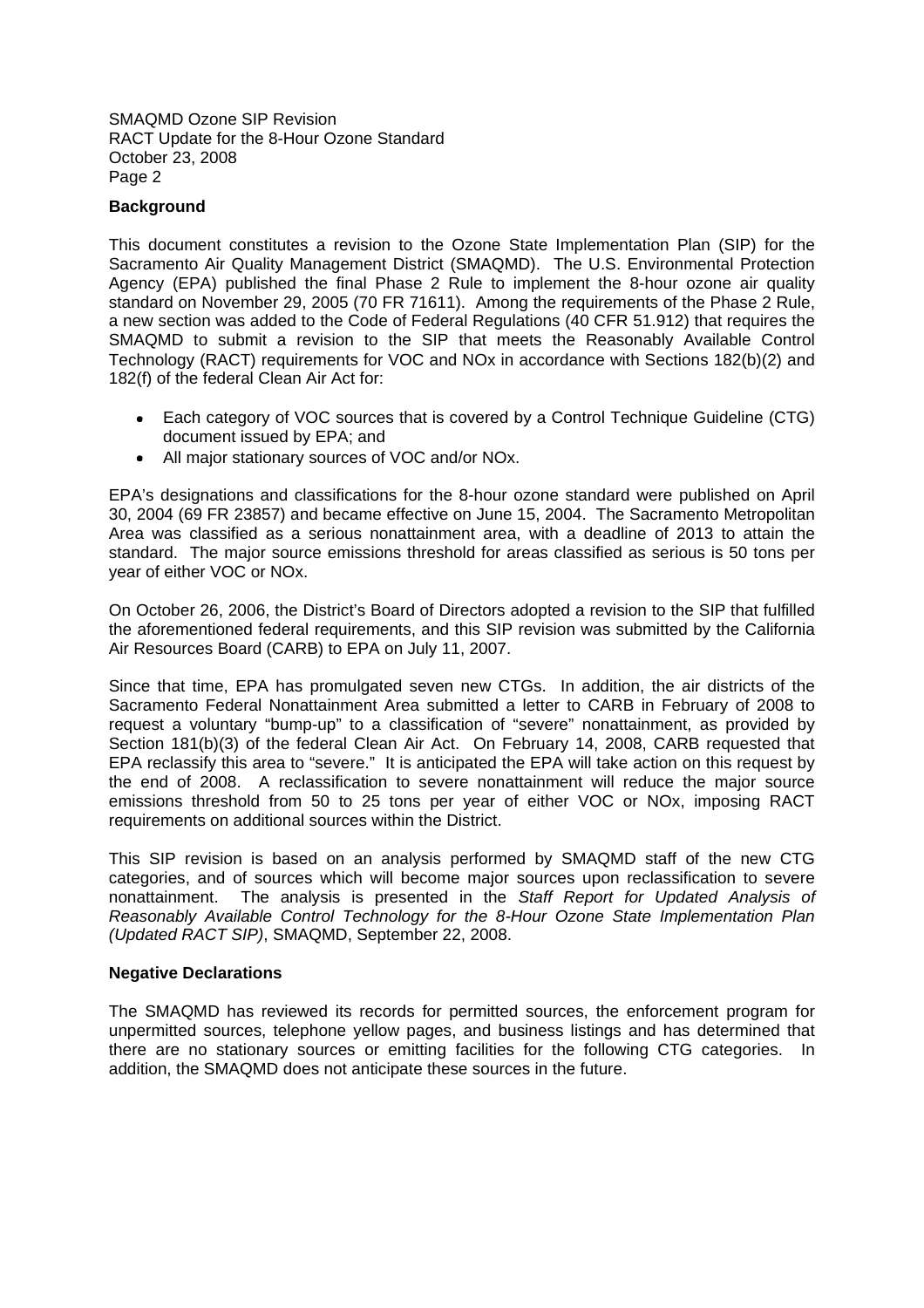SMAQMD Ozone SIP Revision RACT Update for the 8-Hour Ozone Standard October 23, 2008 Page 2

### **Background**

This document constitutes a revision to the Ozone State Implementation Plan (SIP) for the Sacramento Air Quality Management District (SMAQMD). The U.S. Environmental Protection Agency (EPA) published the final Phase 2 Rule to implement the 8-hour ozone air quality standard on November 29, 2005 (70 FR 71611). Among the requirements of the Phase 2 Rule, a new section was added to the Code of Federal Regulations (40 CFR 51.912) that requires the SMAQMD to submit a revision to the SIP that meets the Reasonably Available Control Technology (RACT) requirements for VOC and NOx in accordance with Sections 182(b)(2) and 182(f) of the federal Clean Air Act for:

- Each category of VOC sources that is covered by a Control Technique Guideline (CTG) document issued by EPA; and
- All major stationary sources of VOC and/or NOx.

EPA's designations and classifications for the 8-hour ozone standard were published on April 30, 2004 (69 FR 23857) and became effective on June 15, 2004. The Sacramento Metropolitan Area was classified as a serious nonattainment area, with a deadline of 2013 to attain the standard. The major source emissions threshold for areas classified as serious is 50 tons per year of either VOC or NOx.

On October 26, 2006, the District's Board of Directors adopted a revision to the SIP that fulfilled the aforementioned federal requirements, and this SIP revision was submitted by the California Air Resources Board (CARB) to EPA on July 11, 2007.

Since that time, EPA has promulgated seven new CTGs. In addition, the air districts of the Sacramento Federal Nonattainment Area submitted a letter to CARB in February of 2008 to request a voluntary "bump-up" to a classification of "severe" nonattainment, as provided by Section 181(b)(3) of the federal Clean Air Act. On February 14, 2008, CARB requested that EPA reclassify this area to "severe." It is anticipated the EPA will take action on this request by the end of 2008. A reclassification to severe nonattainment will reduce the major source emissions threshold from 50 to 25 tons per year of either VOC or NOx, imposing RACT requirements on additional sources within the District.

This SIP revision is based on an analysis performed by SMAQMD staff of the new CTG categories, and of sources which will become major sources upon reclassification to severe nonattainment. The analysis is presented in the *Staff Report for Updated Analysis of Reasonably Available Control Technology for the 8-Hour Ozone State Implementation Plan (Updated RACT SIP)*, SMAQMD, September 22, 2008.

### **Negative Declarations**

The SMAQMD has reviewed its records for permitted sources, the enforcement program for unpermitted sources, telephone yellow pages, and business listings and has determined that there are no stationary sources or emitting facilities for the following CTG categories. In addition, the SMAQMD does not anticipate these sources in the future.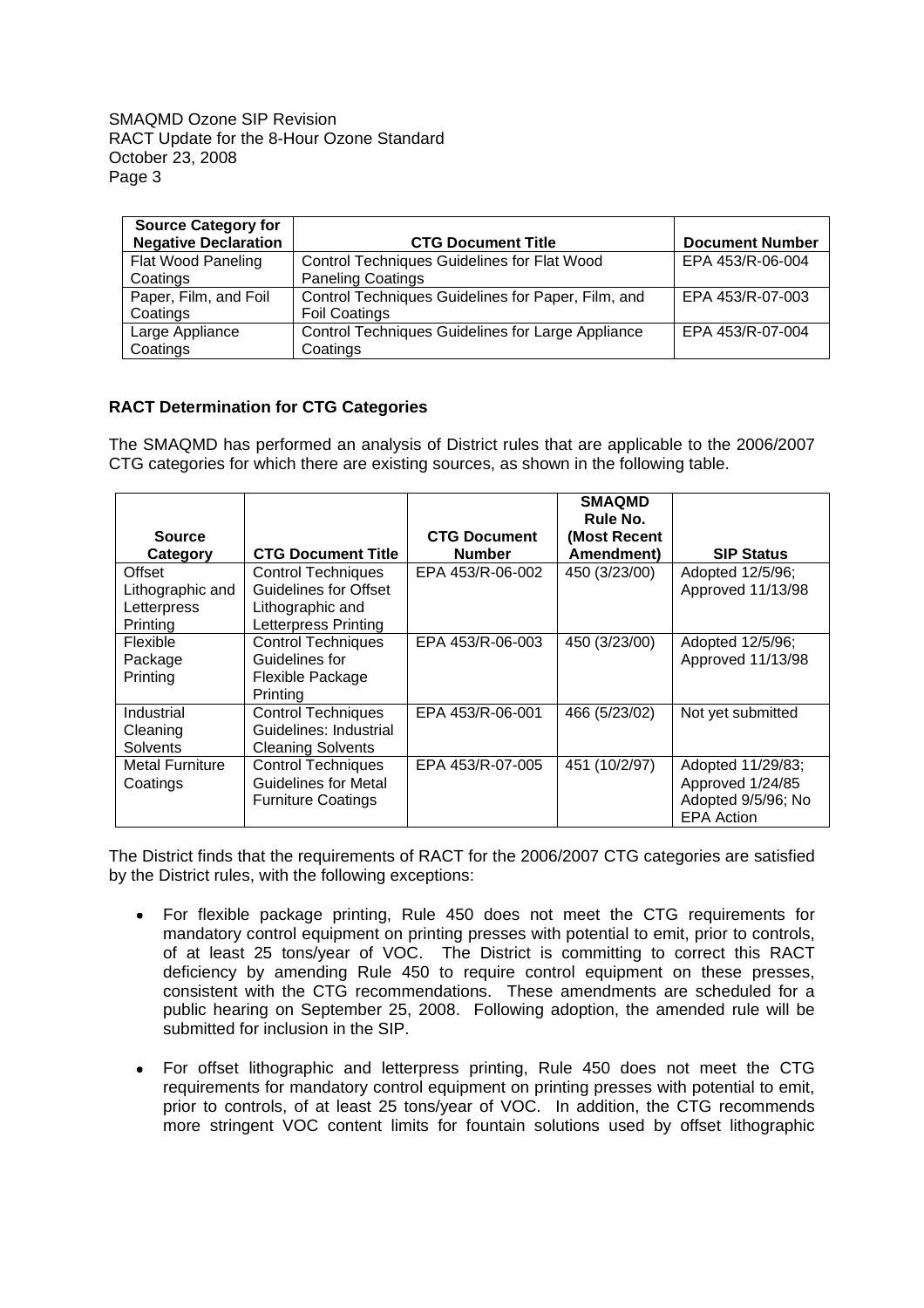SMAQMD Ozone SIP Revision RACT Update for the 8-Hour Ozone Standard October 23, 2008 Page 3

| <b>Source Category for</b>  |                                                    |                        |
|-----------------------------|----------------------------------------------------|------------------------|
| <b>Negative Declaration</b> | <b>CTG Document Title</b>                          | <b>Document Number</b> |
| Flat Wood Paneling          | <b>Control Techniques Guidelines for Flat Wood</b> | EPA 453/R-06-004       |
| Coatings                    | <b>Paneling Coatings</b>                           |                        |
| Paper, Film, and Foil       | Control Techniques Guidelines for Paper, Film, and | EPA 453/R-07-003       |
| Coatings                    | <b>Foil Coatings</b>                               |                        |
| Large Appliance             | Control Techniques Guidelines for Large Appliance  | EPA 453/R-07-004       |
| Coatings                    | Coatings                                           |                        |

# **RACT Determination for CTG Categories**

The SMAQMD has performed an analysis of District rules that are applicable to the 2006/2007 CTG categories for which there are existing sources, as shown in the following table.

|                        |                              |                     | <b>SMAQMD</b><br>Rule No. |                    |
|------------------------|------------------------------|---------------------|---------------------------|--------------------|
| <b>Source</b>          |                              | <b>CTG Document</b> | (Most Recent              |                    |
| Category               | <b>CTG Document Title</b>    | <b>Number</b>       | Amendment)                | <b>SIP Status</b>  |
| Offset                 | <b>Control Techniques</b>    | EPA 453/R-06-002    | 450 (3/23/00)             | Adopted 12/5/96;   |
| Lithographic and       | <b>Guidelines for Offset</b> |                     |                           | Approved 11/13/98  |
| Letterpress            | Lithographic and             |                     |                           |                    |
| Printing               | Letterpress Printing         |                     |                           |                    |
| Flexible               | <b>Control Techniques</b>    | EPA 453/R-06-003    | 450 (3/23/00)             | Adopted 12/5/96;   |
| Package                | Guidelines for               |                     |                           | Approved 11/13/98  |
| Printing               | Flexible Package             |                     |                           |                    |
|                        | Printina                     |                     |                           |                    |
| Industrial             | <b>Control Techniques</b>    | EPA 453/R-06-001    | 466 (5/23/02)             | Not yet submitted  |
| Cleaning               | Guidelines: Industrial       |                     |                           |                    |
| Solvents               | <b>Cleaning Solvents</b>     |                     |                           |                    |
| <b>Metal Furniture</b> | <b>Control Techniques</b>    | EPA 453/R-07-005    | 451 (10/2/97)             | Adopted 11/29/83;  |
| Coatings               | Guidelines for Metal         |                     |                           | Approved 1/24/85   |
|                        | <b>Furniture Coatings</b>    |                     |                           | Adopted 9/5/96; No |
|                        |                              |                     |                           | <b>EPA Action</b>  |

The District finds that the requirements of RACT for the 2006/2007 CTG categories are satisfied by the District rules, with the following exceptions:

- For flexible package printing, Rule 450 does not meet the CTG requirements for mandatory control equipment on printing presses with potential to emit, prior to controls, of at least 25 tons/year of VOC. The District is committing to correct this RACT deficiency by amending Rule 450 to require control equipment on these presses, consistent with the CTG recommendations. These amendments are scheduled for a public hearing on September 25, 2008. Following adoption, the amended rule will be submitted for inclusion in the SIP.
- For offset lithographic and letterpress printing, Rule 450 does not meet the CTG requirements for mandatory control equipment on printing presses with potential to emit, prior to controls, of at least 25 tons/year of VOC. In addition, the CTG recommends more stringent VOC content limits for fountain solutions used by offset lithographic